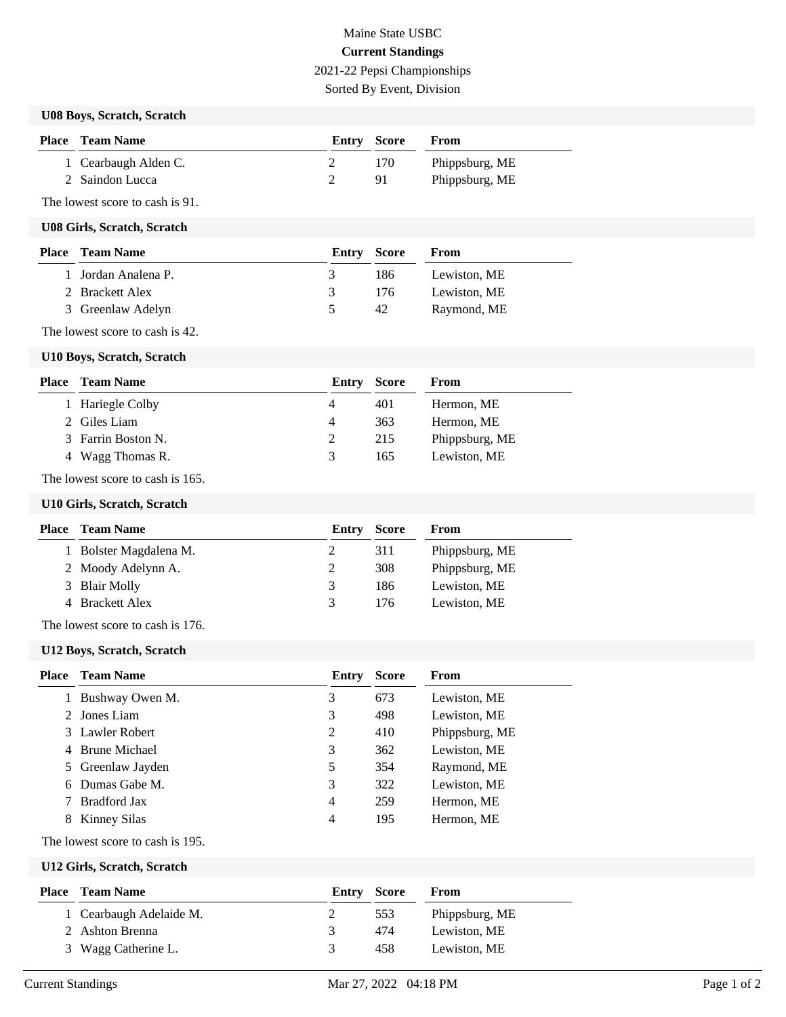# Maine State USBC **Current Standings** 2021-22 Pepsi Championships

Sorted By Event, Division

#### **U08 Boys, Scratch, Scratch**

| <b>Place</b> Team Name | Entry Score |     | <b>From</b>    |
|------------------------|-------------|-----|----------------|
| 1 Cearbaugh Alden C.   |             | 170 | Phippsburg, ME |
| 2 Saindon Lucca        |             | -91 | Phippsburg, ME |

The lowest score to cash is 91.

#### **U08 Girls, Scratch, Scratch**

| <b>Place</b> Team Name | <b>Entry Score</b> |      | From         |
|------------------------|--------------------|------|--------------|
| 1 Jordan Analena P.    | 3.                 | 186. | Lewiston, ME |
| 2 Brackett Alex        | 3                  | 176  | Lewiston, ME |
| 3 Greenlaw Adelyn      |                    | 42   | Raymond, ME  |

The lowest score to cash is 42.

#### **U10 Boys, Scratch, Scratch**

| <b>Place</b> Team Name | <b>Entry Score</b> |     | From           |
|------------------------|--------------------|-----|----------------|
| 1 Hariegle Colby       | 4                  | 401 | Hermon, ME     |
| 2 Giles Liam           | 4                  | 363 | Hermon, ME     |
| 3 Farrin Boston N.     |                    | 215 | Phippsburg, ME |
| 4 Wagg Thomas R.       | 3                  | 165 | Lewiston, ME   |
|                        |                    |     |                |

The lowest score to cash is 165.

#### **U10 Girls, Scratch, Scratch**

| <b>Place</b> Team Name | Entry | <b>Score</b> | From           |
|------------------------|-------|--------------|----------------|
| 1 Bolster Magdalena M. |       | 311          | Phippsburg, ME |
| 2 Moody Adelynn A.     |       | 308          | Phippsburg, ME |
| 3 Blair Molly          | 3     | 186          | Lewiston, ME   |
| 4 Brackett Alex        | 3     | 176          | Lewiston, ME   |
|                        |       |              |                |

The lowest score to cash is 176.

## **U12 Boys, Scratch, Scratch**

| Place | <b>Team Name</b>  | Entry | <b>Score</b> | From           |
|-------|-------------------|-------|--------------|----------------|
|       | Bushway Owen M.   | 3     | 673          | Lewiston, ME   |
|       | 2 Jones Liam      | 3     | 498          | Lewiston, ME   |
|       | 3 Lawler Robert   | 2     | 410          | Phippsburg, ME |
|       | 4 Brune Michael   | 3     | 362          | Lewiston, ME   |
|       | 5 Greenlaw Jayden | 5     | 354          | Raymond, ME    |
| 6     | Dumas Gabe M.     | 3     | 322          | Lewiston, ME   |
|       | Bradford Jax      | 4     | 259          | Hermon, ME     |
| 8     | Kinney Silas      | 4     | 195          | Hermon, ME     |

## The lowest score to cash is 195.

#### **U12 Girls, Scratch, Scratch**

| <b>Place</b> Team Name  |   | Entry Score | From           |
|-------------------------|---|-------------|----------------|
| 1 Cearbaugh Adelaide M. |   | 553         | Phippsburg, ME |
| 2 Ashton Brenna         | 3 | 474         | Lewiston, ME   |
| 3 Wagg Catherine L.     | 3 | 458         | Lewiston, ME   |